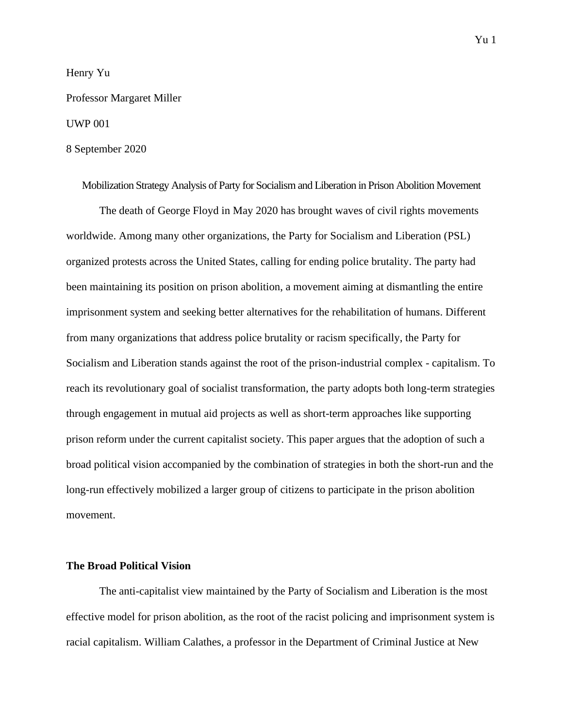# Henry Yu

# Professor Margaret Miller

# UWP 001

# 8 September 2020

Mobilization Strategy Analysis of Party for Socialism and Liberation in Prison Abolition Movement The death of George Floyd in May 2020 has brought waves of civil rights movements worldwide. Among many other organizations, the Party for Socialism and Liberation (PSL) organized protests across the United States, calling for ending police brutality. The party had been maintaining its position on prison abolition, a movement aiming at dismantling the entire imprisonment system and seeking better alternatives for the rehabilitation of humans. Different from many organizations that address police brutality or racism specifically, the Party for Socialism and Liberation stands against the root of the prison-industrial complex - capitalism. To reach its revolutionary goal of socialist transformation, the party adopts both long-term strategies through engagement in mutual aid projects as well as short-term approaches like supporting prison reform under the current capitalist society. This paper argues that the adoption of such a broad political vision accompanied by the combination of strategies in both the short-run and the long-run effectively mobilized a larger group of citizens to participate in the prison abolition movement.

# **The Broad Political Vision**

The anti-capitalist view maintained by the Party of Socialism and Liberation is the most effective model for prison abolition, as the root of the racist policing and imprisonment system is racial capitalism. William Calathes, a professor in the Department of Criminal Justice at New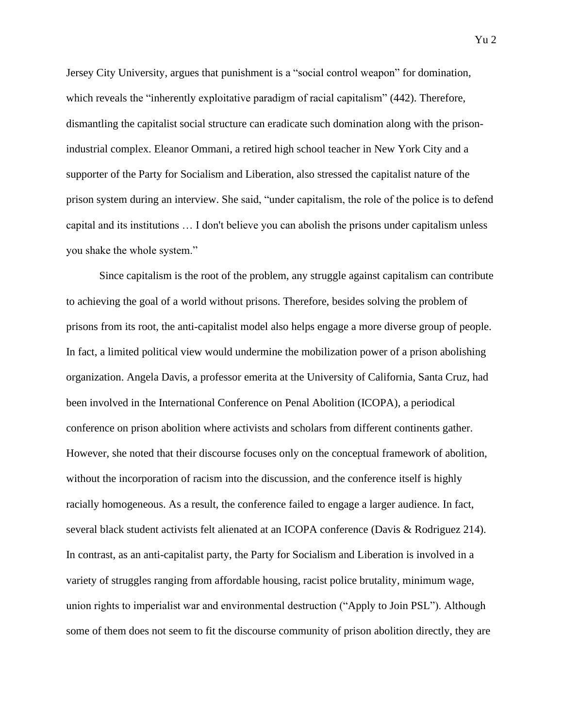Jersey City University, argues that punishment is a "social control weapon" for domination, which reveals the "inherently exploitative paradigm of racial capitalism" (442). Therefore, dismantling the capitalist social structure can eradicate such domination along with the prisonindustrial complex. Eleanor Ommani, a retired high school teacher in New York City and a supporter of the Party for Socialism and Liberation, also stressed the capitalist nature of the prison system during an interview. She said, "under capitalism, the role of the police is to defend capital and its institutions … I don't believe you can abolish the prisons under capitalism unless you shake the whole system."

Since capitalism is the root of the problem, any struggle against capitalism can contribute to achieving the goal of a world without prisons. Therefore, besides solving the problem of prisons from its root, the anti-capitalist model also helps engage a more diverse group of people. In fact, a limited political view would undermine the mobilization power of a prison abolishing organization. Angela Davis, a professor emerita at the University of California, Santa Cruz, had been involved in the International Conference on Penal Abolition (ICOPA), a periodical conference on prison abolition where activists and scholars from different continents gather. However, she noted that their discourse focuses only on the conceptual framework of abolition, without the incorporation of racism into the discussion, and the conference itself is highly racially homogeneous. As a result, the conference failed to engage a larger audience. In fact, several black student activists felt alienated at an ICOPA conference (Davis & Rodriguez 214). In contrast, as an anti-capitalist party, the Party for Socialism and Liberation is involved in a variety of struggles ranging from affordable housing, racist police brutality, minimum wage, union rights to imperialist war and environmental destruction ("Apply to Join PSL"). Although some of them does not seem to fit the discourse community of prison abolition directly, they are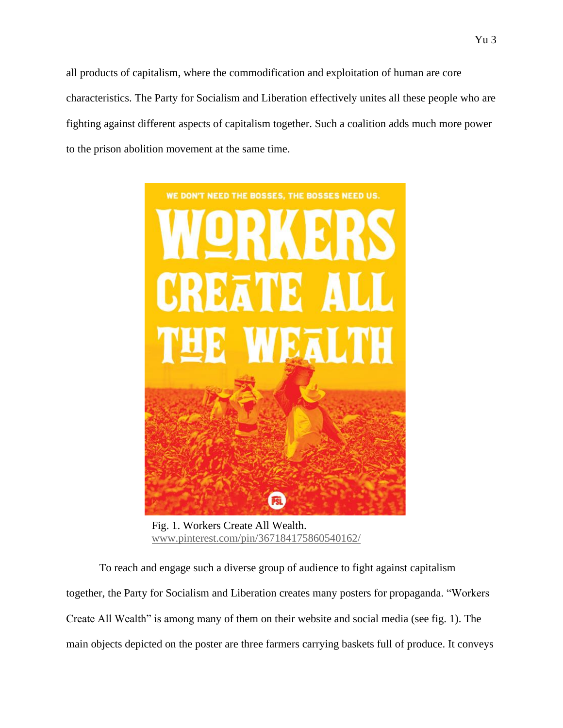all products of capitalism, where the commodification and exploitation of human are core characteristics. The Party for Socialism and Liberation effectively unites all these people who are fighting against different aspects of capitalism together. Such a coalition adds much more power to the prison abolition movement at the same time.



Fig. 1. Workers Create All Wealth. [www.pinterest.com/pin/367184175860540162/](http://www.pinterest.com/pin/367184175860540162/)

To reach and engage such a diverse group of audience to fight against capitalism together, the Party for Socialism and Liberation creates many posters for propaganda. "Workers Create All Wealth" is among many of them on their website and social media (see fig. 1). The main objects depicted on the poster are three farmers carrying baskets full of produce. It conveys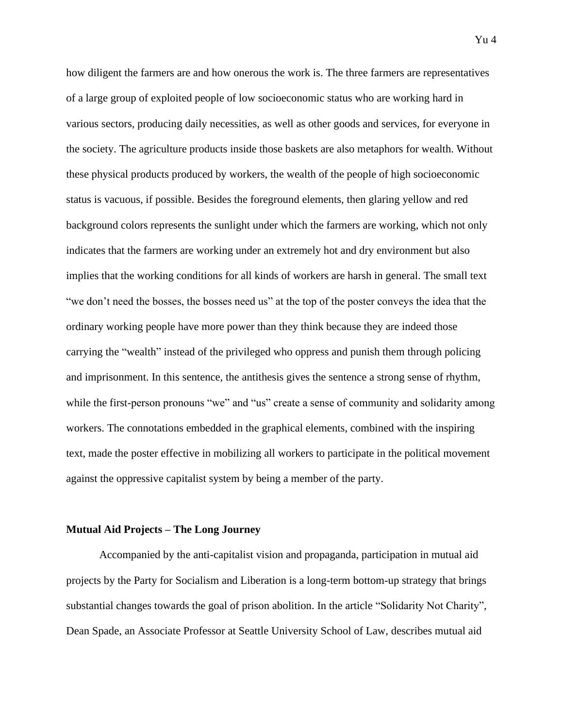how diligent the farmers are and how onerous the work is. The three farmers are representatives of a large group of exploited people of low socioeconomic status who are working hard in various sectors, producing daily necessities, as well as other goods and services, for everyone in the society. The agriculture products inside those baskets are also metaphors for wealth. Without these physical products produced by workers, the wealth of the people of high socioeconomic status is vacuous, if possible. Besides the foreground elements, then glaring yellow and red background colors represents the sunlight under which the farmers are working, which not only indicates that the farmers are working under an extremely hot and dry environment but also implies that the working conditions for all kinds of workers are harsh in general. The small text "we don't need the bosses, the bosses need us" at the top of the poster conveys the idea that the ordinary working people have more power than they think because they are indeed those carrying the "wealth" instead of the privileged who oppress and punish them through policing and imprisonment. In this sentence, the antithesis gives the sentence a strong sense of rhythm, while the first-person pronouns "we" and "us" create a sense of community and solidarity among workers. The connotations embedded in the graphical elements, combined with the inspiring text, made the poster effective in mobilizing all workers to participate in the political movement against the oppressive capitalist system by being a member of the party.

#### **Mutual Aid Projects – The Long Journey**

Accompanied by the anti-capitalist vision and propaganda, participation in mutual aid projects by the Party for Socialism and Liberation is a long-term bottom-up strategy that brings substantial changes towards the goal of prison abolition. In the article "Solidarity Not Charity", Dean Spade, an Associate Professor at Seattle University School of Law, describes mutual aid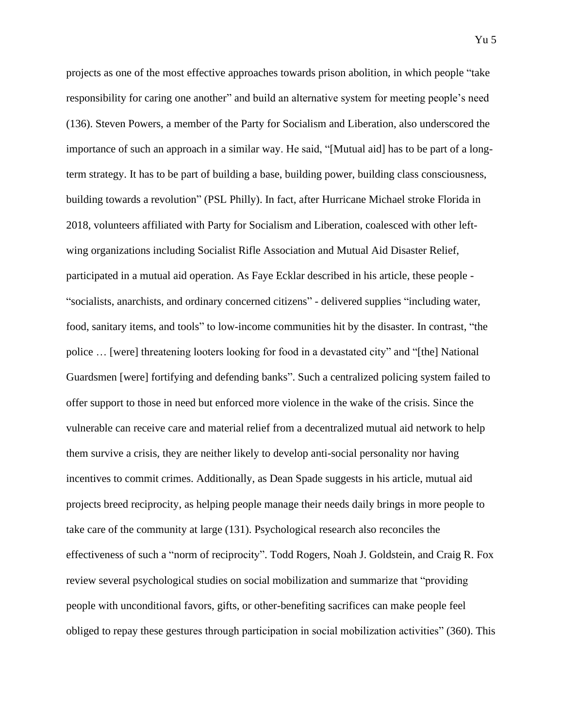projects as one of the most effective approaches towards prison abolition, in which people "take responsibility for caring one another" and build an alternative system for meeting people's need (136). Steven Powers, a member of the Party for Socialism and Liberation, also underscored the importance of such an approach in a similar way. He said, "[Mutual aid] has to be part of a longterm strategy. It has to be part of building a base, building power, building class consciousness, building towards a revolution" (PSL Philly). In fact, after Hurricane Michael stroke Florida in 2018, volunteers affiliated with Party for Socialism and Liberation, coalesced with other leftwing organizations including Socialist Rifle Association and Mutual Aid Disaster Relief, participated in a mutual aid operation. As Faye Ecklar described in his article, these people - "socialists, anarchists, and ordinary concerned citizens" - delivered supplies "including water, food, sanitary items, and tools" to low-income communities hit by the disaster. In contrast, "the police … [were] threatening looters looking for food in a devastated city" and "[the] National Guardsmen [were] fortifying and defending banks". Such a centralized policing system failed to offer support to those in need but enforced more violence in the wake of the crisis. Since the vulnerable can receive care and material relief from a decentralized mutual aid network to help them survive a crisis, they are neither likely to develop anti-social personality nor having incentives to commit crimes. Additionally, as Dean Spade suggests in his article, mutual aid projects breed reciprocity, as helping people manage their needs daily brings in more people to take care of the community at large (131). Psychological research also reconciles the effectiveness of such a "norm of reciprocity". Todd Rogers, Noah J. Goldstein, and Craig R. Fox review several psychological studies on social mobilization and summarize that "providing people with unconditional favors, gifts, or other-benefiting sacrifices can make people feel obliged to repay these gestures through participation in social mobilization activities" (360). This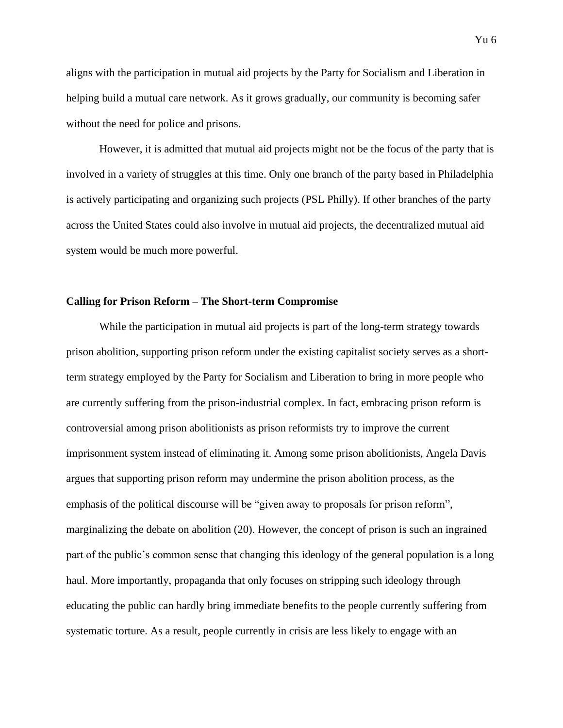aligns with the participation in mutual aid projects by the Party for Socialism and Liberation in helping build a mutual care network. As it grows gradually, our community is becoming safer without the need for police and prisons.

However, it is admitted that mutual aid projects might not be the focus of the party that is involved in a variety of struggles at this time. Only one branch of the party based in Philadelphia is actively participating and organizing such projects (PSL Philly). If other branches of the party across the United States could also involve in mutual aid projects, the decentralized mutual aid system would be much more powerful.

### **Calling for Prison Reform – The Short-term Compromise**

While the participation in mutual aid projects is part of the long-term strategy towards prison abolition, supporting prison reform under the existing capitalist society serves as a shortterm strategy employed by the Party for Socialism and Liberation to bring in more people who are currently suffering from the prison-industrial complex. In fact, embracing prison reform is controversial among prison abolitionists as prison reformists try to improve the current imprisonment system instead of eliminating it. Among some prison abolitionists, Angela Davis argues that supporting prison reform may undermine the prison abolition process, as the emphasis of the political discourse will be "given away to proposals for prison reform", marginalizing the debate on abolition (20). However, the concept of prison is such an ingrained part of the public's common sense that changing this ideology of the general population is a long haul. More importantly, propaganda that only focuses on stripping such ideology through educating the public can hardly bring immediate benefits to the people currently suffering from systematic torture. As a result, people currently in crisis are less likely to engage with an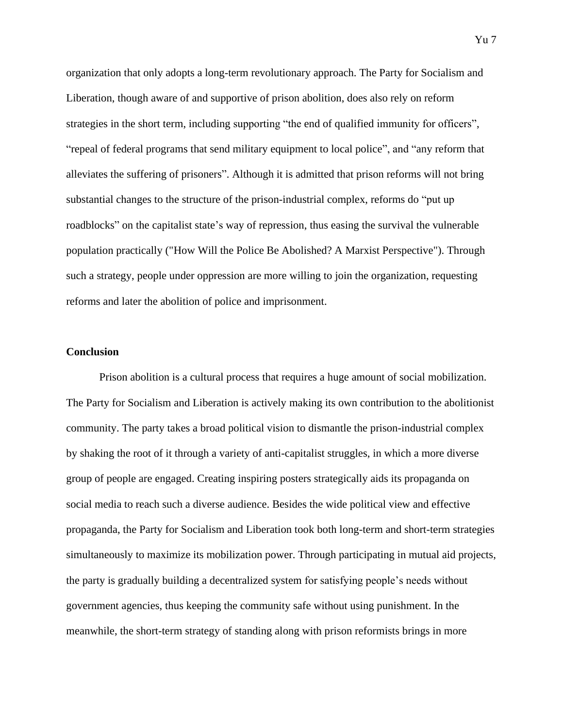organization that only adopts a long-term revolutionary approach. The Party for Socialism and Liberation, though aware of and supportive of prison abolition, does also rely on reform strategies in the short term, including supporting "the end of qualified immunity for officers", "repeal of federal programs that send military equipment to local police", and "any reform that alleviates the suffering of prisoners". Although it is admitted that prison reforms will not bring substantial changes to the structure of the prison-industrial complex, reforms do "put up roadblocks" on the capitalist state's way of repression, thus easing the survival the vulnerable population practically ("How Will the Police Be Abolished? A Marxist Perspective"). Through such a strategy, people under oppression are more willing to join the organization, requesting reforms and later the abolition of police and imprisonment.

### **Conclusion**

Prison abolition is a cultural process that requires a huge amount of social mobilization. The Party for Socialism and Liberation is actively making its own contribution to the abolitionist community. The party takes a broad political vision to dismantle the prison-industrial complex by shaking the root of it through a variety of anti-capitalist struggles, in which a more diverse group of people are engaged. Creating inspiring posters strategically aids its propaganda on social media to reach such a diverse audience. Besides the wide political view and effective propaganda, the Party for Socialism and Liberation took both long-term and short-term strategies simultaneously to maximize its mobilization power. Through participating in mutual aid projects, the party is gradually building a decentralized system for satisfying people's needs without government agencies, thus keeping the community safe without using punishment. In the meanwhile, the short-term strategy of standing along with prison reformists brings in more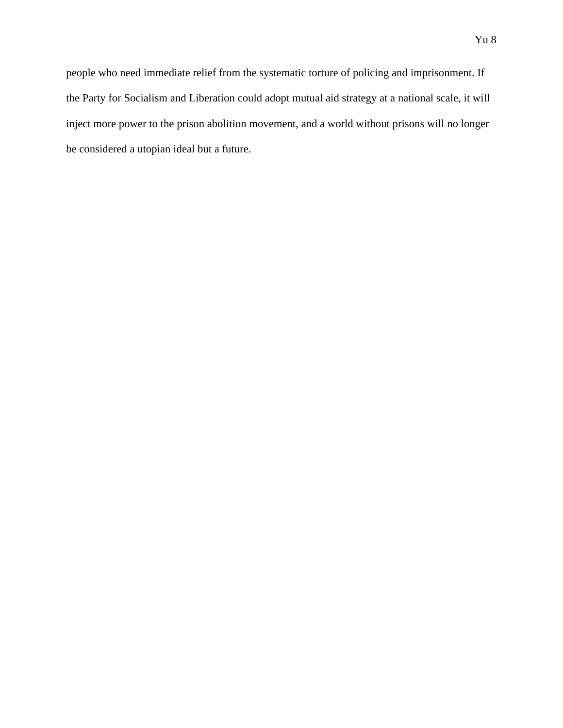people who need immediate relief from the systematic torture of policing and imprisonment. If the Party for Socialism and Liberation could adopt mutual aid strategy at a national scale, it will inject more power to the prison abolition movement, and a world without prisons will no longer be considered a utopian ideal but a future.